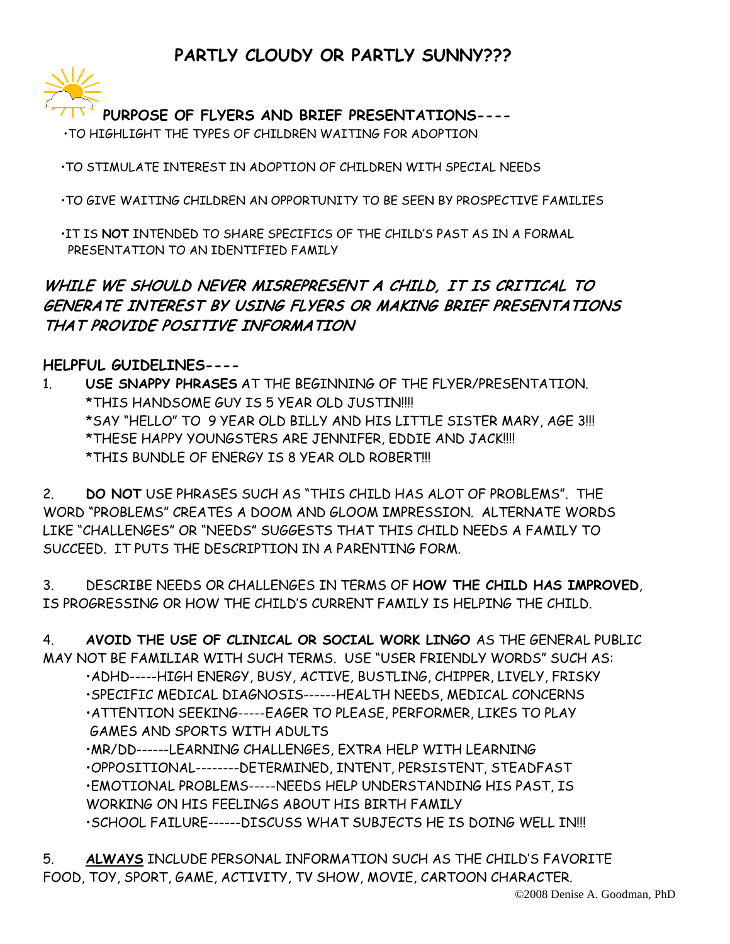## **PARTLY CLOUDY OR PARTLY SUNNY???**



**PURPOSE OF FLYERS AND BRIEF PRESENTATIONS----** 

•TO HIGHLIGHT THE TYPES OF CHILDREN WAITING FOR ADOPTION

•TO STIMULATE INTEREST IN ADOPTION OF CHILDREN WITH SPECIAL NEEDS

•TO GIVE WAITING CHILDREN AN OPPORTUNITY TO BE SEEN BY PROSPECTIVE FAMILIES

 •IT IS **NOT** INTENDED TO SHARE SPECIFICS OF THE CHILD'S PAST AS IN A FORMAL PRESENTATION TO AN IDENTIFIED FAMILY

## WHILE WE SHOULD NEVER MISREPRESENT A CHILD, IT IS CRITICAL TO GENERATE INTEREST BY USING FLYERS OR MAKING BRIEF PRESENTATIONS THAT PROVIDE POSITIVE INFORMATION

## **HELPFUL GUIDELINES----**

1. **USE SNAPPY PHRASES** AT THE BEGINNING OF THE FLYER/PRESENTATION. \*THIS HANDSOME GUY IS 5 YEAR OLD JUSTIN!!!! \*SAY "HELLO" TO 9 YEAR OLD BILLY AND HIS LITTLE SISTER MARY, AGE 3!!! \*THESE HAPPY YOUNGSTERS ARE JENNIFER, EDDIE AND JACK!!!! \*THIS BUNDLE OF ENERGY IS 8 YEAR OLD ROBERT!!!

2. **DO NOT** USE PHRASES SUCH AS "THIS CHILD HAS ALOT OF PROBLEMS". THE WORD "PROBLEMS" CREATES A DOOM AND GLOOM IMPRESSION. ALTERNATE WORDS LIKE "CHALLENGES" OR "NEEDS" SUGGESTS THAT THIS CHILD NEEDS A FAMILY TO SUCCEED. IT PUTS THE DESCRIPTION IN A PARENTING FORM.

3. DESCRIBE NEEDS OR CHALLENGES IN TERMS OF **HOW THE CHILD HAS IMPROVED**, IS PROGRESSING OR HOW THE CHILD'S CURRENT FAMILY IS HELPING THE CHILD.

4. **AVOID THE USE OF CLINICAL OR SOCIAL WORK LINGO** AS THE GENERAL PUBLIC MAY NOT BE FAMILIAR WITH SUCH TERMS. USE "USER FRIENDLY WORDS" SUCH AS:

•ADHD-----HIGH ENERGY, BUSY, ACTIVE, BUSTLING, CHIPPER, LIVELY, FRISKY

- •SPECIFIC MEDICAL DIAGNOSIS------HEALTH NEEDS, MEDICAL CONCERNS
- •ATTENTION SEEKING-----EAGER TO PLEASE, PERFORMER, LIKES TO PLAY GAMES AND SPORTS WITH ADULTS

•MR/DD------LEARNING CHALLENGES, EXTRA HELP WITH LEARNING

•OPPOSITIONAL--------DETERMINED, INTENT, PERSISTENT, STEADFAST

•EMOTIONAL PROBLEMS-----NEEDS HELP UNDERSTANDING HIS PAST, IS

WORKING ON HIS FEELINGS ABOUT HIS BIRTH FAMILY

•SCHOOL FAILURE------DISCUSS WHAT SUBJECTS HE IS DOING WELL IN!!!

5. **ALWAYS** INCLUDE PERSONAL INFORMATION SUCH AS THE CHILD'S FAVORITE FOOD, TOY, SPORT, GAME, ACTIVITY, TV SHOW, MOVIE, CARTOON CHARACTER.